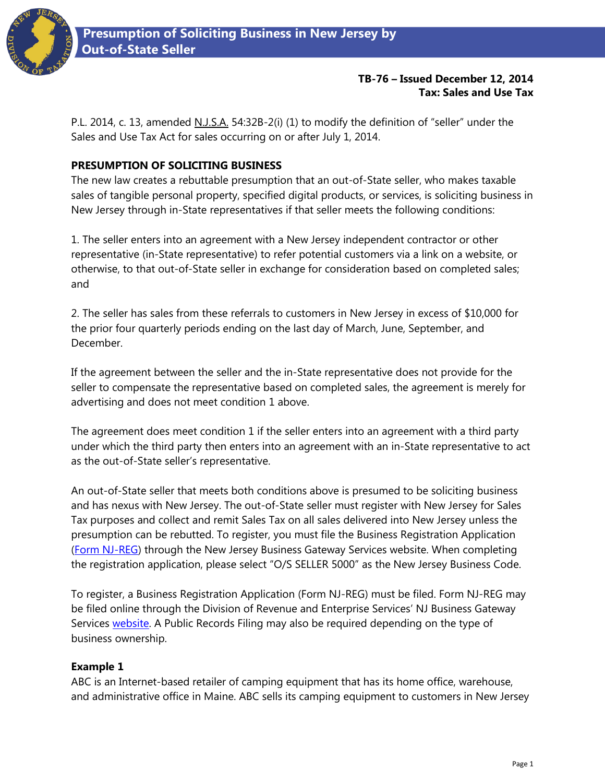

## **TB-76 – Issued December 12, 2014 Tax: Sales and Use Tax**

P.L. 2014, c. 13, amended N.J.S.A. 54:32B-2(i) (1) to modify the definition of "seller" under the Sales and Use Tax Act for sales occurring on or after July 1, 2014.

# **PRESUMPTION OF SOLICITING BUSINESS**

The new law creates a rebuttable presumption that an out-of-State seller, who makes taxable sales of tangible personal property, specified digital products, or services, is soliciting business in New Jersey through in-State representatives if that seller meets the following conditions:

1. The seller enters into an agreement with a New Jersey independent contractor or other representative (in-State representative) to refer potential customers via a link on a website, or otherwise, to that out-of-State seller in exchange for consideration based on completed sales; and

2. The seller has sales from these referrals to customers in New Jersey in excess of \$10,000 for the prior four quarterly periods ending on the last day of March, June, September, and December.

If the agreement between the seller and the in-State representative does not provide for the seller to compensate the representative based on completed sales, the agreement is merely for advertising and does not meet condition 1 above.

The agreement does meet condition 1 if the seller enters into an agreement with a third party under which the third party then enters into an agreement with an in-State representative to act as the out-of-State seller's representative.

An out-of-State seller that meets both conditions above is presumed to be soliciting business and has nexus with New Jersey. The out-of-State seller must register with New Jersey for Sales Tax purposes and collect and remit Sales Tax on all sales delivered into New Jersey unless the presumption can be rebutted. To register, you must file the Business Registration Application [\(Form NJ-REG\)](http://www.state.nj.us/treasury/revenue/njbgs/bgsclientreg.shtml) through the New Jersey Business Gateway Services website. When completing the registration application, please select "O/S SELLER 5000" as the New Jersey Business Code.

To register, a Business Registration Application (Form NJ-REG) must be filed. Form NJ-REG may be filed online through the Division of Revenue and Enterprise Services' NJ Business Gateway Services [website.](http://www.state.nj.us/treasury/revenue/njbgs/bgsclientreg.shtml) A Public Records Filing may also be required depending on the type of business ownership.

# **Example 1**

ABC is an Internet-based retailer of camping equipment that has its home office, warehouse, and administrative office in Maine. ABC sells its camping equipment to customers in New Jersey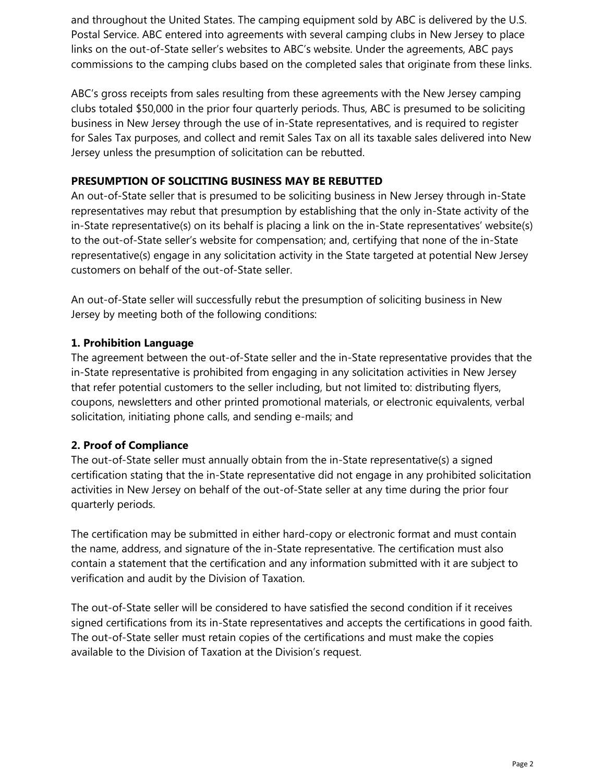and throughout the United States. The camping equipment sold by ABC is delivered by the U.S. Postal Service. ABC entered into agreements with several camping clubs in New Jersey to place links on the out-of-State seller's websites to ABC's website. Under the agreements, ABC pays commissions to the camping clubs based on the completed sales that originate from these links.

ABC's gross receipts from sales resulting from these agreements with the New Jersey camping clubs totaled \$50,000 in the prior four quarterly periods. Thus, ABC is presumed to be soliciting business in New Jersey through the use of in-State representatives, and is required to register for Sales Tax purposes, and collect and remit Sales Tax on all its taxable sales delivered into New Jersey unless the presumption of solicitation can be rebutted.

### **PRESUMPTION OF SOLICITING BUSINESS MAY BE REBUTTED**

An out-of-State seller that is presumed to be soliciting business in New Jersey through in-State representatives may rebut that presumption by establishing that the only in-State activity of the in-State representative(s) on its behalf is placing a link on the in-State representatives' website(s) to the out-of-State seller's website for compensation; and, certifying that none of the in-State representative(s) engage in any solicitation activity in the State targeted at potential New Jersey customers on behalf of the out-of-State seller.

An out-of-State seller will successfully rebut the presumption of soliciting business in New Jersey by meeting both of the following conditions:

## **1. Prohibition Language**

The agreement between the out-of-State seller and the in-State representative provides that the in-State representative is prohibited from engaging in any solicitation activities in New Jersey that refer potential customers to the seller including, but not limited to: distributing flyers, coupons, newsletters and other printed promotional materials, or electronic equivalents, verbal solicitation, initiating phone calls, and sending e-mails; and

# **2. Proof of Compliance**

The out-of-State seller must annually obtain from the in-State representative(s) a signed certification stating that the in-State representative did not engage in any prohibited solicitation activities in New Jersey on behalf of the out-of-State seller at any time during the prior four quarterly periods.

The certification may be submitted in either hard-copy or electronic format and must contain the name, address, and signature of the in-State representative. The certification must also contain a statement that the certification and any information submitted with it are subject to verification and audit by the Division of Taxation.

The out-of-State seller will be considered to have satisfied the second condition if it receives signed certifications from its in-State representatives and accepts the certifications in good faith. The out-of-State seller must retain copies of the certifications and must make the copies available to the Division of Taxation at the Division's request.